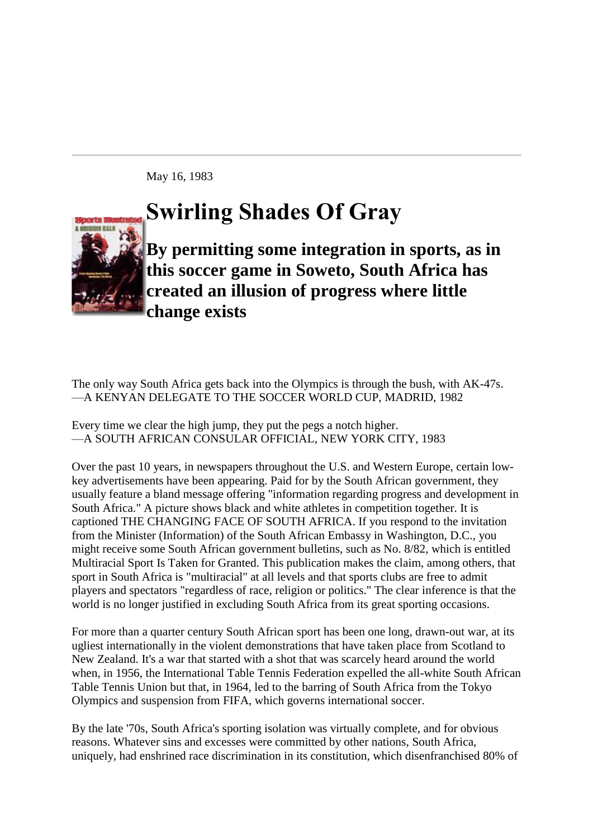May 16, 1983

## **Swirling Shades Of Gray**



**By permitting some integration in sports, as in this soccer game in Soweto, South Africa has created an illusion of progress where little change exists**

The only way South Africa gets back into the Olympics is through the bush, with AK-47s. —A KENYAN DELEGATE TO THE SOCCER WORLD CUP, [MADRID,](http://sportsillustrated.cnn.com/vault/topic/article/Madrid/1900-01-01/2100-12-31/mdd/index.htm) 1982

Every time we clear the high jump, they put the pegs a notch higher. —A SOUTH AFRICAN CONSULAR OFFICIAL, [NEW YORK CITY,](http://sportsillustrated.cnn.com/vault/topic/article/New_York_City/1900-01-01/2100-12-31/mdd/index.htm) 1983

Over the past 10 years, in newspapers throughout the [U.S.](http://sportsillustrated.cnn.com/vault/topic/article/United_States/1900-01-01/2100-12-31/mdd/index.htm) and [Western Europe,](http://sportsillustrated.cnn.com/vault/topic/article/Western_Europe/1900-01-01/2100-12-31/mdd/index.htm) certain lowkey advertisements have been appearing. Paid for by the [South African](http://sportsillustrated.cnn.com/vault/topic/article/South_Africa/1900-01-01/2100-12-31/mdd/index.htm) government, they usually feature a bland message offering "information regarding progress and development in [South Africa.](http://sportsillustrated.cnn.com/vault/topic/article/South_Africa/1900-01-01/2100-12-31/mdd/index.htm)" A picture shows black and white athletes in competition together. It is captioned THE CHANGING FACE OF [SOUTH AFRICA.](http://sportsillustrated.cnn.com/vault/topic/article/South_Africa/1900-01-01/2100-12-31/mdd/index.htm) If you respond to the invitation from the Minister (Information) of the South African Embassy in [Washington, D.C.,](http://sportsillustrated.cnn.com/vault/topic/article/Washington_DC/1900-01-01/2100-12-31/mdd/index.htm) you might receive some [South African](http://sportsillustrated.cnn.com/vault/topic/article/South_Africa/1900-01-01/2100-12-31/mdd/index.htm) government bulletins, such as No. 8/82, which is entitled Multiracial Sport Is Taken for Granted. This publication makes the claim, among others, that sport in [South Africa](http://sportsillustrated.cnn.com/vault/topic/article/South_Africa/1900-01-01/2100-12-31/mdd/index.htm) is "multiracial" at all levels and that sports clubs are free to admit players and spectators "regardless of race, religion or politics." The clear inference is that the world is no longer justified in excluding [South Africa](http://sportsillustrated.cnn.com/vault/topic/article/South_Africa/1900-01-01/2100-12-31/mdd/index.htm) from its great sporting occasions.

For more than a quarter century [South African](http://sportsillustrated.cnn.com/vault/topic/article/South_Africa/1900-01-01/2100-12-31/mdd/index.htm) sport has been one long, drawn-out war, at its ugliest internationally in the violent demonstrations that have taken place from [Scotland](http://sportsillustrated.cnn.com/vault/topic/article/Scotland/1900-01-01/2100-12-31/mdd/index.htm) to [New Zealand.](http://sportsillustrated.cnn.com/vault/topic/article/New_Zealand/1900-01-01/2100-12-31/mdd/index.htm) It's a war that started with a shot that was scarcely heard around the world when, in 1956, the International Table Tennis Federation expelled the all-white [South African](http://sportsillustrated.cnn.com/vault/topic/article/South_Africa/1900-01-01/2100-12-31/mdd/index.htm) Table Tennis Union but that, in 1964, led to the barring of [South Africa](http://sportsillustrated.cnn.com/vault/topic/article/South_Africa/1900-01-01/2100-12-31/mdd/index.htm) from the [Tokyo](http://sportsillustrated.cnn.com/vault/topic/article/Tokyo/1900-01-01/2100-12-31/mdd/index.htm) Olympics and suspension from [FIFA,](http://sportsillustrated.cnn.com/vault/topic/article/FIFA/1900-01-01/2100-12-31/mdd/index.htm) which governs international soccer.

By the late '70s, [South Africa's](http://sportsillustrated.cnn.com/vault/topic/article/South_Africa/1900-01-01/2100-12-31/mdd/index.htm) sporting isolation was virtually complete, and for obvious reasons. Whatever sins and excesses were committed by other nations, [South Africa,](http://sportsillustrated.cnn.com/vault/topic/article/South_Africa/1900-01-01/2100-12-31/mdd/index.htm) uniquely, had enshrined race discrimination in its constitution, which disenfranchised 80% of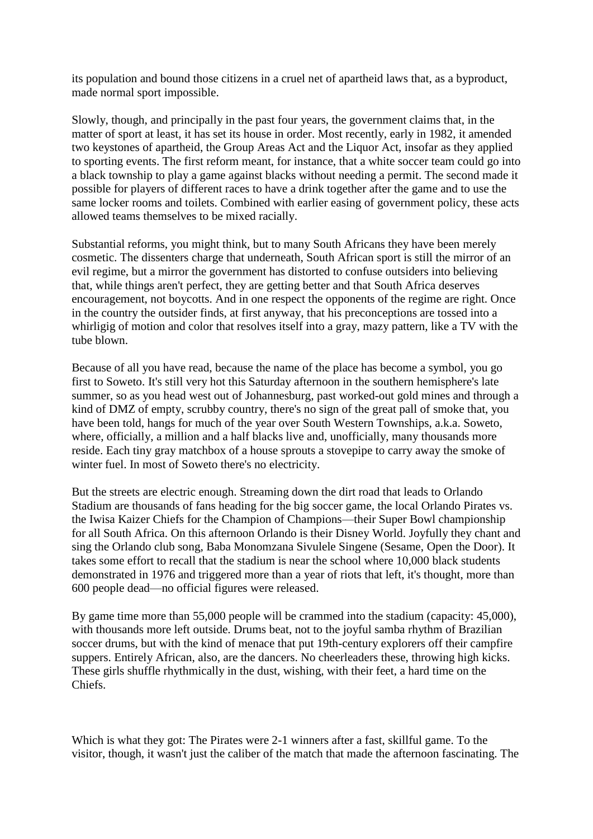its population and bound those citizens in a cruel net of apartheid laws that, as a byproduct, made normal sport impossible.

Slowly, though, and principally in the past four years, the government claims that, in the matter of sport at least, it has set its house in order. Most recently, early in 1982, it amended two keystones of apartheid, the Group Areas Act and the Liquor Act, insofar as they applied to sporting events. The first reform meant, for instance, that a white soccer team could go into a black township to play a game against blacks without needing a permit. The second made it possible for players of different races to have a drink together after the game and to use the same locker rooms and toilets. Combined with earlier easing of government policy, these acts allowed teams themselves to be mixed racially.

Substantial reforms, you might think, but to many South Africans they have been merely cosmetic. The dissenters charge that underneath, [South African](http://sportsillustrated.cnn.com/vault/topic/article/South_Africa/1900-01-01/2100-12-31/mdd/index.htm) sport is still the mirror of an evil regime, but a mirror the government has distorted to confuse outsiders into believing that, while things aren't perfect, they are getting better and that [South Africa](http://sportsillustrated.cnn.com/vault/topic/article/South_Africa/1900-01-01/2100-12-31/mdd/index.htm) deserves encouragement, not boycotts. And in one respect the opponents of the regime are right. Once in the country the outsider finds, at first anyway, that his preconceptions are tossed into a whirligig of motion and color that resolves itself into a gray, mazy pattern, like a TV with the tube blown.

Because of all you have read, because the name of the place has become a symbol, you go first to [Soweto.](http://sportsillustrated.cnn.com/vault/topic/article/Soweto/1900-01-01/2100-12-31/mdd/index.htm) It's still very hot this Saturday afternoon in the southern hemisphere's late summer, so as you head west out of [Johannesburg,](http://sportsillustrated.cnn.com/vault/topic/article/Johannesburg/1900-01-01/2100-12-31/mdd/index.htm) past worked-out gold mines and through a kind of DMZ of empty, scrubby country, there's no sign of the great pall of smoke that, you have been told, hangs for much of the year over South Western Townships, a.k.a. [Soweto,](http://sportsillustrated.cnn.com/vault/topic/article/Soweto/1900-01-01/2100-12-31/mdd/index.htm) where, officially, a million and a half blacks live and, unofficially, many thousands more reside. Each tiny gray matchbox of a house sprouts a stovepipe to carry away the smoke of winter fuel. In most of [Soweto](http://sportsillustrated.cnn.com/vault/topic/article/Soweto/1900-01-01/2100-12-31/mdd/index.htm) there's no electricity.

But the streets are electric enough. Streaming down the dirt road that leads to [Orlando](http://sportsillustrated.cnn.com/vault/topic/article/Orlando_Florida/1900-01-01/2100-12-31/mdd/index.htm) Stadium are thousands of fans heading for the big soccer game, the local Orlando Pirates vs. the Iwisa Kaizer Chiefs for the Champion of Champions—their Super Bowl championship for all [South Africa.](http://sportsillustrated.cnn.com/vault/topic/article/South_Africa/1900-01-01/2100-12-31/mdd/index.htm) On this afternoon [Orlando](http://sportsillustrated.cnn.com/vault/topic/article/Orlando_Florida/1900-01-01/2100-12-31/mdd/index.htm) is their [Disney World.](http://sportsillustrated.cnn.com/vault/topic/article/Walt_Disney_World_Resort/1900-01-01/2100-12-31/mdd/index.htm) Joyfully they chant and sing the [Orlando](http://sportsillustrated.cnn.com/vault/topic/article/Orlando_Florida/1900-01-01/2100-12-31/mdd/index.htm) club song, Baba Monomzana Sivulele Singene (Sesame, Open the Door). It takes some effort to recall that the stadium is near the school where 10,000 black students demonstrated in 1976 and triggered more than a year of riots that left, it's thought, more than 600 people dead—no official figures were released.

By game time more than 55,000 people will be crammed into the stadium (capacity: 45,000), with thousands more left outside. Drums beat, not to the joyful samba rhythm of Brazilian soccer drums, but with the kind of menace that put 19th-century explorers off their campfire suppers. Entirely African, also, are the dancers. No cheerleaders these, throwing high kicks. These girls shuffle rhythmically in the dust, wishing, with their feet, a hard time on the Chiefs.

Which is what they got: The Pirates were 2-1 winners after a fast, skillful game. To the visitor, though, it wasn't just the caliber of the match that made the afternoon fascinating. The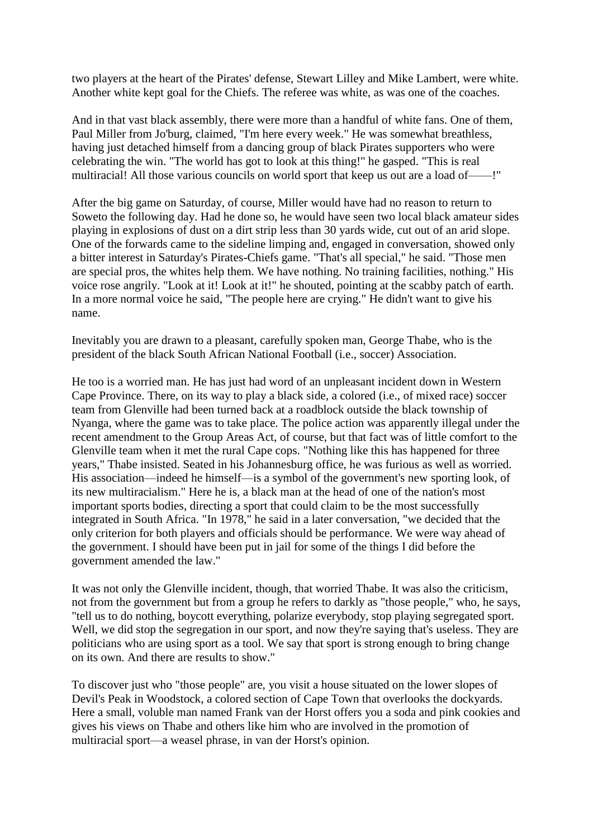two players at the heart of the Pirates' defense, Stewart Lilley and [Mike Lambert,](http://sportsillustrated.cnn.com/vault/topic/article/Mike_Lambert/1900-01-01/2100-12-31/mdd/index.htm) were white. Another white kept goal for the Chiefs. The referee was white, as was one of the coaches.

And in that vast black assembly, there were more than a handful of white fans. One of them, [Paul Miller](http://sportsillustrated.cnn.com/vault/topic/article/Paul_Miller/1900-01-01/2100-12-31/mdd/index.htm) from Jo'burg, claimed, "I'm here every week." He was somewhat breathless, having just detached himself from a dancing group of black Pirates supporters who were celebrating the win. "The world has got to look at this thing!" he gasped. "This is real multiracial! All those various councils on world sport that keep us out are a load of——!"

After the big game on Saturday, of course, Miller would have had no reason to return to [Soweto](http://sportsillustrated.cnn.com/vault/topic/article/Soweto/1900-01-01/2100-12-31/mdd/index.htm) the following day. Had he done so, he would have seen two local black amateur sides playing in explosions of dust on a dirt strip less than 30 yards wide, cut out of an arid slope. One of the forwards came to the sideline limping and, engaged in conversation, showed only a bitter interest in Saturday's Pirates-Chiefs game. "That's all special," he said. "Those men are special pros, the whites help them. We have nothing. No training facilities, nothing." His voice rose angrily. "Look at it! Look at it!" he shouted, pointing at the scabby patch of earth. In a more normal voice he said, "The people here are crying." He didn't want to give his name.

Inevitably you are drawn to a pleasant, carefully spoken man, George Thabe, who is the president of the black [South African](http://sportsillustrated.cnn.com/vault/topic/article/South_Africa/1900-01-01/2100-12-31/mdd/index.htm) National Football (i.e., soccer) Association.

He too is a worried man. He has just had word of an unpleasant incident down in Western Cape Province. There, on its way to play a black side, a colored (i.e., of mixed race) soccer team from [Glenville](http://sportsillustrated.cnn.com/vault/topic/article/Glenville/1900-01-01/2100-12-31/mdd/index.htm) had been turned back at a roadblock outside the black township of Nyanga, where the game was to take place. The police action was apparently illegal under the recent amendment to the Group Areas Act, of course, but that fact was of little comfort to the [Glenville](http://sportsillustrated.cnn.com/vault/topic/article/Glenville/1900-01-01/2100-12-31/mdd/index.htm) team when it met the rural Cape cops. "Nothing like this has happened for three years," Thabe insisted. Seated in his [Johannesburg](http://sportsillustrated.cnn.com/vault/topic/article/Johannesburg/1900-01-01/2100-12-31/mdd/index.htm) office, he was furious as well as worried. His association—indeed he himself—is a symbol of the government's new sporting look, of its new multiracialism." Here he is, a black man at the head of one of the nation's most important sports bodies, directing a sport that could claim to be the most successfully integrated in [South Africa.](http://sportsillustrated.cnn.com/vault/topic/article/South_Africa/1900-01-01/2100-12-31/mdd/index.htm) "In 1978," he said in a later conversation, "we decided that the only criterion for both players and officials should be performance. We were way ahead of the government. I should have been put in jail for some of the things I did before the government amended the law."

It was not only the [Glenville](http://sportsillustrated.cnn.com/vault/topic/article/Glenville/1900-01-01/2100-12-31/mdd/index.htm) incident, though, that worried Thabe. It was also the criticism, not from the government but from a group he refers to darkly as "those people," who, he says, "tell us to do nothing, boycott everything, polarize everybody, stop playing segregated sport. Well, we did stop the segregation in our sport, and now they're saying that's useless. They are politicians who are using sport as a tool. We say that sport is strong enough to bring change on its own. And there are results to show."

To discover just who "those people" are, you visit a house situated on the lower slopes of Devil's Peak in [Woodstock,](http://sportsillustrated.cnn.com/vault/topic/article/Woodstock/1900-01-01/2100-12-31/mdd/index.htm) a colored section of [Cape Town](http://sportsillustrated.cnn.com/vault/topic/article/Cape_Town/1900-01-01/2100-12-31/mdd/index.htm) that overlooks the dockyards. Here a small, voluble man named Frank van der Horst offers you a soda and pink cookies and gives his views on Thabe and others like him who are involved in the promotion of multiracial sport—a weasel phrase, in van der Horst's opinion.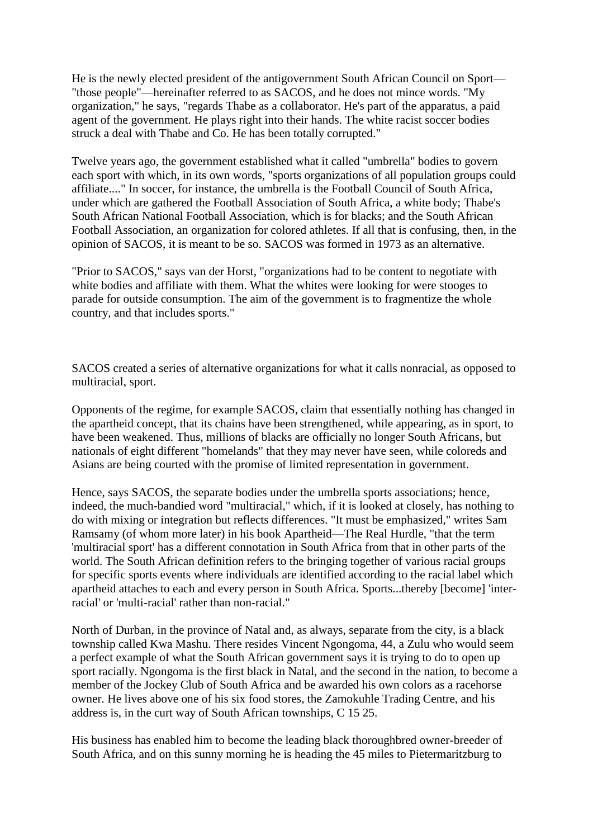He is the newly elected president of the antigovernment South African Council on Sport— "those people"—hereinafter referred to as SACOS, and he does not mince words. "My organization," he says, "regards Thabe as a collaborator. He's part of the apparatus, a paid agent of the government. He plays right into their hands. The white racist soccer bodies struck a deal with Thabe and Co. He has been totally corrupted."

Twelve years ago, the government established what it called "umbrella" bodies to govern each sport with which, in its own words, "sports organizations of all population groups could affiliate...." In soccer, for instance, the umbrella is the Football Council of South Africa, under which are gathered the Football Association of South Africa, a white body; Thabe's South African National Football Association, which is for blacks; and the South African Football Association, an organization for colored athletes. If all that is confusing, then, in the opinion of SACOS, it is meant to be so. SACOS was formed in 1973 as an alternative.

"Prior to SACOS," says van der Horst, "organizations had to be content to negotiate with white bodies and affiliate with them. What the whites were looking for were stooges to parade for outside consumption. The aim of the government is to fragmentize the whole country, and that includes sports."

SACOS created a series of alternative organizations for what it calls nonracial, as opposed to multiracial, sport.

Opponents of the regime, for example SACOS, claim that essentially nothing has changed in the apartheid concept, that its chains have been strengthened, while appearing, as in sport, to have been weakened. Thus, millions of blacks are officially no longer South Africans, but nationals of eight different "homelands" that they may never have seen, while coloreds and Asians are being courted with the promise of limited representation in government.

Hence, says SACOS, the separate bodies under the umbrella sports associations; hence, indeed, the much-bandied word "multiracial," which, if it is looked at closely, has nothing to do with mixing or integration but reflects differences. "It must be emphasized," writes Sam Ramsamy (of whom more later) in his book Apartheid—The Real Hurdle, "that the term 'multiracial sport' has a different connotation in [South Africa](http://sportsillustrated.cnn.com/vault/topic/article/South_Africa/1900-01-01/2100-12-31/mdd/index.htm) from that in other parts of the world. The [South African](http://sportsillustrated.cnn.com/vault/topic/article/South_Africa/1900-01-01/2100-12-31/mdd/index.htm) definition refers to the bringing together of various racial groups for specific sports events where individuals are identified according to the racial label which apartheid attaches to each and every person in [South Africa.](http://sportsillustrated.cnn.com/vault/topic/article/South_Africa/1900-01-01/2100-12-31/mdd/index.htm) Sports...thereby [become] 'interracial' or 'multi-racial' rather than non-racial."

North of [Durban,](http://sportsillustrated.cnn.com/vault/topic/article/Durban/1900-01-01/2100-12-31/mdd/index.htm) in the province of Natal and, as always, separate from the city, is a black township called Kwa Mashu. There resides Vincent Ngongoma, 44, a Zulu who would seem a perfect example of what the [South African](http://sportsillustrated.cnn.com/vault/topic/article/South_Africa/1900-01-01/2100-12-31/mdd/index.htm) government says it is trying to do to open up sport racially. Ngongoma is the first black in Natal, and the second in the nation, to become a member of the [Jockey Club](http://sportsillustrated.cnn.com/vault/topic/article/The_Jockey_Club/1900-01-01/2100-12-31/mdd/index.htm) of [South Africa](http://sportsillustrated.cnn.com/vault/topic/article/South_Africa/1900-01-01/2100-12-31/mdd/index.htm) and be awarded his own colors as a racehorse owner. He lives above one of his six food stores, the Zamokuhle Trading Centre, and his address is, in the curt way of [South African](http://sportsillustrated.cnn.com/vault/topic/article/South_Africa/1900-01-01/2100-12-31/mdd/index.htm) townships, C 15 25.

His business has enabled him to become the leading black thoroughbred owner-breeder of [South Africa,](http://sportsillustrated.cnn.com/vault/topic/article/South_Africa/1900-01-01/2100-12-31/mdd/index.htm) and on this sunny morning he is heading the 45 miles to Pietermaritzburg to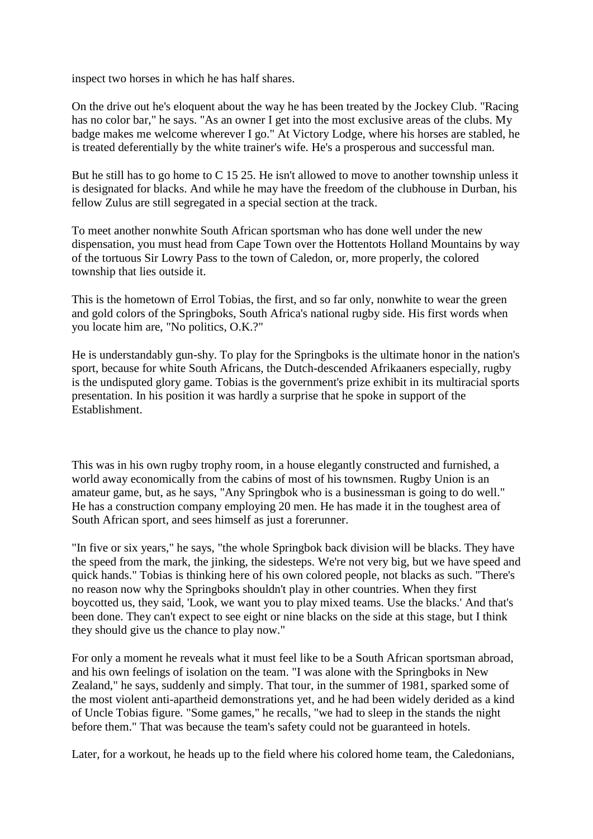inspect two horses in which he has half shares.

On the drive out he's eloquent about the way he has been treated by the [Jockey Club.](http://sportsillustrated.cnn.com/vault/topic/article/The_Jockey_Club/1900-01-01/2100-12-31/mdd/index.htm) "Racing has no color bar," he says. "As an owner I get into the most exclusive areas of the clubs. My badge makes me welcome wherever I go." At Victory Lodge, where his horses are stabled, he is treated deferentially by the white trainer's wife. He's a prosperous and successful man.

But he still has to go home to C 15 25. He isn't allowed to move to another township unless it is designated for blacks. And while he may have the freedom of the clubhouse in [Durban,](http://sportsillustrated.cnn.com/vault/topic/article/Durban/1900-01-01/2100-12-31/mdd/index.htm) his fellow Zulus are still segregated in a special section at the track.

To meet another nonwhite [South African](http://sportsillustrated.cnn.com/vault/topic/article/South_Africa/1900-01-01/2100-12-31/mdd/index.htm) sportsman who has done well under the new dispensation, you must head from [Cape Town](http://sportsillustrated.cnn.com/vault/topic/article/Cape_Town/1900-01-01/2100-12-31/mdd/index.htm) over the Hottentots [Holland](http://sportsillustrated.cnn.com/vault/topic/article/Netherlands/1900-01-01/2100-12-31/mdd/index.htm) Mountains by way of the tortuous Sir Lowry Pass to the town of Caledon, or, more properly, the colored township that lies outside it.

This is the hometown of Errol Tobias, the first, and so far only, nonwhite to wear the green and gold colors of the Springboks, [South Africa'](http://sportsillustrated.cnn.com/vault/topic/article/South_Africa/1900-01-01/2100-12-31/mdd/index.htm)s national rugby side. His first words when you locate him are, "No politics, O.K.?"

He is understandably gun-shy. To play for the Springboks is the ultimate honor in the nation's sport, because for white South Africans, the Dutch-descended Afrikaaners especially, rugby is the undisputed glory game. Tobias is the government's prize exhibit in its multiracial sports presentation. In his position it was hardly a surprise that he spoke in support of the Establishment.

This was in his own rugby trophy room, in a house elegantly constructed and furnished, a world away economically from the cabins of most of his townsmen. Rugby Union is an amateur game, but, as he says, "Any Springbok who is a businessman is going to do well." He has a construction company employing 20 men. He has made it in the toughest area of [South African](http://sportsillustrated.cnn.com/vault/topic/article/South_Africa/1900-01-01/2100-12-31/mdd/index.htm) sport, and sees himself as just a forerunner.

"In five or six years," he says, "the whole Springbok back division will be blacks. They have the speed from the mark, the jinking, the sidesteps. We're not very big, but we have speed and quick hands." Tobias is thinking here of his own colored people, not blacks as such. "There's no reason now why the Springboks shouldn't play in other countries. When they first boycotted us, they said, 'Look, we want you to play mixed teams. Use the blacks.' And that's been done. They can't expect to see eight or nine blacks on the side at this stage, but I think they should give us the chance to play now."

For only a moment he reveals what it must feel like to be a [South African](http://sportsillustrated.cnn.com/vault/topic/article/South_Africa/1900-01-01/2100-12-31/mdd/index.htm) sportsman abroad, and his own feelings of isolation on the team. "I was alone with the Springboks in [New](http://sportsillustrated.cnn.com/vault/topic/article/New_Zealand/1900-01-01/2100-12-31/mdd/index.htm)  [Zealand,](http://sportsillustrated.cnn.com/vault/topic/article/New_Zealand/1900-01-01/2100-12-31/mdd/index.htm)" he says, suddenly and simply. That tour, in the summer of 1981, sparked some of the most violent anti-apartheid demonstrations yet, and he had been widely derided as a kind of Uncle Tobias figure. "Some games," he recalls, "we had to sleep in the stands the night before them." That was because the team's safety could not be guaranteed in hotels.

Later, for a workout, he heads up to the field where his colored home team, the Caledonians,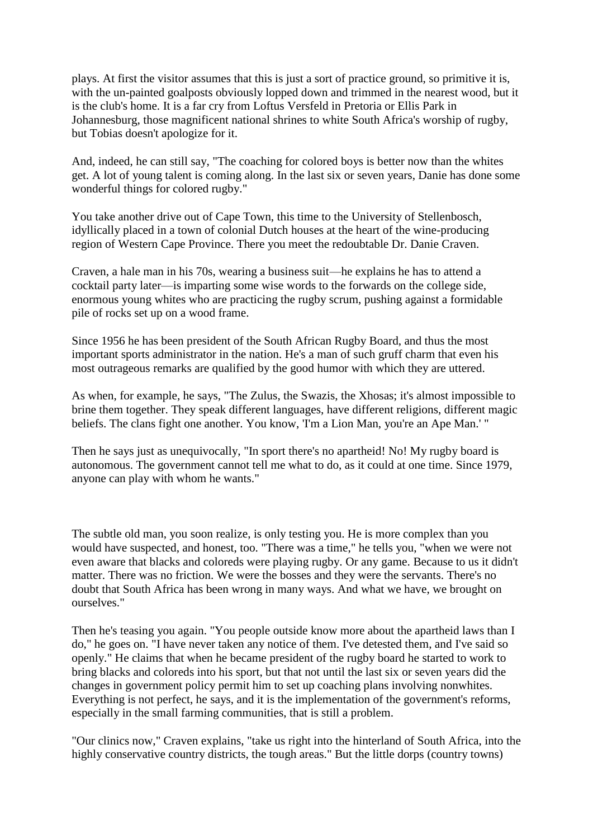plays. At first the visitor assumes that this is just a sort of practice ground, so primitive it is, with the un-painted goalposts obviously lopped down and trimmed in the nearest wood, but it is the club's home. It is a far cry from Loftus Versfeld in [Pretoria](http://sportsillustrated.cnn.com/vault/topic/article/Pretoria/1900-01-01/2100-12-31/mdd/index.htm) or Ellis Park in [Johannesburg,](http://sportsillustrated.cnn.com/vault/topic/article/Johannesburg/1900-01-01/2100-12-31/mdd/index.htm) those magnificent national shrines to white [South Africa'](http://sportsillustrated.cnn.com/vault/topic/article/South_Africa/1900-01-01/2100-12-31/mdd/index.htm)s worship of rugby, but Tobias doesn't apologize for it.

And, indeed, he can still say, "The coaching for colored boys is better now than the whites get. A lot of young talent is coming along. In the last six or seven years, Danie has done some wonderful things for colored rugby."

You take another drive out of [Cape Town,](http://sportsillustrated.cnn.com/vault/topic/article/Cape_Town/1900-01-01/2100-12-31/mdd/index.htm) this time to the University of Stellenbosch, idyllically placed in a town of colonial Dutch houses at the heart of the wine-producing region of Western Cape Province. There you meet the redoubtable Dr. Danie Craven.

Craven, a hale man in his 70s, wearing a business suit—he explains he has to attend a cocktail party later—is imparting some wise words to the forwards on the college side, enormous young whites who are practicing the rugby scrum, pushing against a formidable pile of rocks set up on a wood frame.

Since 1956 he has been president of the South African Rugby Board, and thus the most important sports administrator in the nation. He's a man of such gruff charm that even his most outrageous remarks are qualified by the good humor with which they are uttered.

As when, for example, he says, "The Zulus, the Swazis, the Xhosas; it's almost impossible to brine them together. They speak different languages, have different religions, different magic beliefs. The clans fight one another. You know, 'I'm a Lion Man, you're an Ape Man.' "

Then he says just as unequivocally, "In sport there's no apartheid! No! My rugby board is autonomous. The government cannot tell me what to do, as it could at one time. Since 1979, anyone can play with whom he wants."

The subtle old man, you soon realize, is only testing you. He is more complex than you would have suspected, and honest, too. "There was a time," he tells you, "when we were not even aware that blacks and coloreds were playing rugby. Or any game. Because to us it didn't matter. There was no friction. We were the bosses and they were the servants. There's no doubt that [South Africa](http://sportsillustrated.cnn.com/vault/topic/article/South_Africa/1900-01-01/2100-12-31/mdd/index.htm) has been wrong in many ways. And what we have, we brought on ourselves."

Then he's teasing you again. "You people outside know more about the apartheid laws than I do," he goes on. "I have never taken any notice of them. I've detested them, and I've said so openly." He claims that when he became president of the rugby board he started to work to bring blacks and coloreds into his sport, but that not until the last six or seven years did the changes in government policy permit him to set up coaching plans involving nonwhites. Everything is not perfect, he says, and it is the implementation of the government's reforms, especially in the small farming communities, that is still a problem.

"Our clinics now," Craven explains, "take us right into the hinterland of [South Africa,](http://sportsillustrated.cnn.com/vault/topic/article/South_Africa/1900-01-01/2100-12-31/mdd/index.htm) into the highly conservative country districts, the tough areas." But the little dorps (country towns)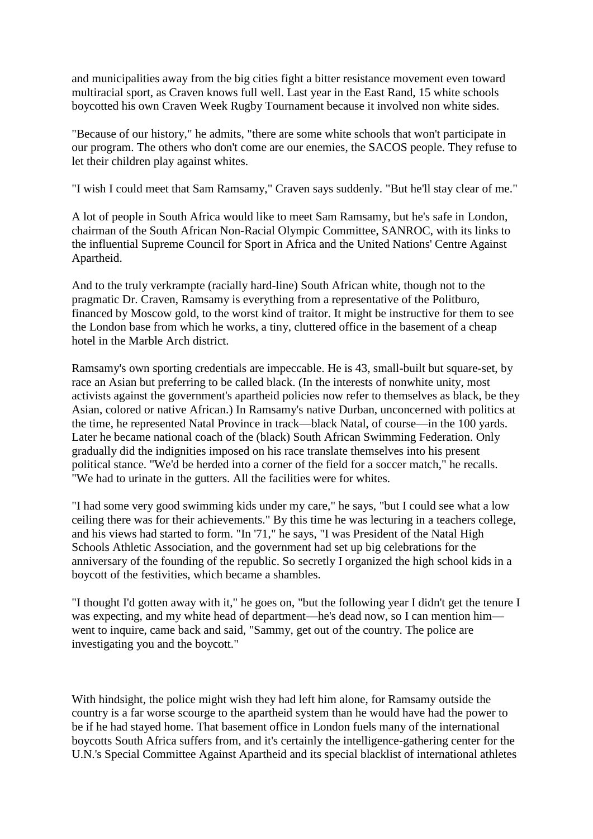and municipalities away from the big cities fight a bitter resistance movement even toward multiracial sport, as Craven knows full well. Last year in the East Rand, 15 white schools boycotted his own Craven Week Rugby Tournament because it involved non white sides.

"Because of our history," he admits, "there are some white schools that won't participate in our program. The others who don't come are our enemies, the SACOS people. They refuse to let their children play against whites.

"I wish I could meet that Sam Ramsamy," Craven says suddenly. "But he'll stay clear of me."

A lot of people in [South Africa](http://sportsillustrated.cnn.com/vault/topic/article/South_Africa/1900-01-01/2100-12-31/mdd/index.htm) would like to meet Sam Ramsamy, but he's safe in [London,](http://sportsillustrated.cnn.com/vault/topic/article/London/1900-01-01/2100-12-31/mdd/index.htm) chairman of the South African Non-Racial Olympic Committee, SANROC, with its links to the influential Supreme Council for Sport in [Africa](http://sportsillustrated.cnn.com/vault/topic/article/Africa/1900-01-01/2100-12-31/mdd/index.htm) and the [United Nations'](http://sportsillustrated.cnn.com/vault/topic/article/United_Nations/1900-01-01/2100-12-31/mdd/index.htm) Centre Against Apartheid.

And to the truly verkrampte (racially hard-line) [South African](http://sportsillustrated.cnn.com/vault/topic/article/South_Africa/1900-01-01/2100-12-31/mdd/index.htm) white, though not to the pragmatic Dr. Craven, Ramsamy is everything from a representative of the Politburo, financed by [Moscow](http://sportsillustrated.cnn.com/vault/topic/article/Moscow/1900-01-01/2100-12-31/mdd/index.htm) gold, to the worst kind of traitor. It might be instructive for them to see the [London](http://sportsillustrated.cnn.com/vault/topic/article/London/1900-01-01/2100-12-31/mdd/index.htm) base from which he works, a tiny, cluttered office in the basement of a cheap hotel in the Marble Arch district.

Ramsamy's own sporting credentials are impeccable. He is 43, small-built but square-set, by race an Asian but preferring to be called black. (In the interests of nonwhite unity, most activists against the government's apartheid policies now refer to themselves as black, be they Asian, colored or native African.) In Ramsamy's native [Durban,](http://sportsillustrated.cnn.com/vault/topic/article/Durban/1900-01-01/2100-12-31/mdd/index.htm) unconcerned with politics at the time, he represented Natal Province in track—black Natal, of course—in the 100 yards. Later he became national coach of the (black) South African Swimming Federation. Only gradually did the indignities imposed on his race translate themselves into his present political stance. "We'd be herded into a corner of the field for a soccer match," he recalls. "We had to urinate in the gutters. All the facilities were for whites.

"I had some very good swimming kids under my care," he says, "but I could see what a low ceiling there was for their achievements." By this time he was lecturing in a teachers college, and his views had started to form. "In '71," he says, "I was President of the Natal High Schools Athletic Association, and the government had set up big celebrations for the anniversary of the founding of the republic. So secretly I organized the high school kids in a boycott of the festivities, which became a shambles.

"I thought I'd gotten away with it," he goes on, "but the following year I didn't get the tenure I was expecting, and my white head of department—he's dead now, so I can mention him went to inquire, came back and said, "Sammy, get out of the country. The police are investigating you and the boycott."

With hindsight, the police might wish they had left him alone, for Ramsamy outside the country is a far worse scourge to the apartheid system than he would have had the power to be if he had stayed home. That basement office in [London](http://sportsillustrated.cnn.com/vault/topic/article/London/1900-01-01/2100-12-31/mdd/index.htm) fuels many of the international boycotts [South Africa](http://sportsillustrated.cnn.com/vault/topic/article/South_Africa/1900-01-01/2100-12-31/mdd/index.htm) suffers from, and it's certainly the intelligence-gathering center for the [U.N.'s](http://sportsillustrated.cnn.com/vault/topic/article/United_Nations/1900-01-01/2100-12-31/mdd/index.htm) Special Committee Against Apartheid and its special blacklist of international athletes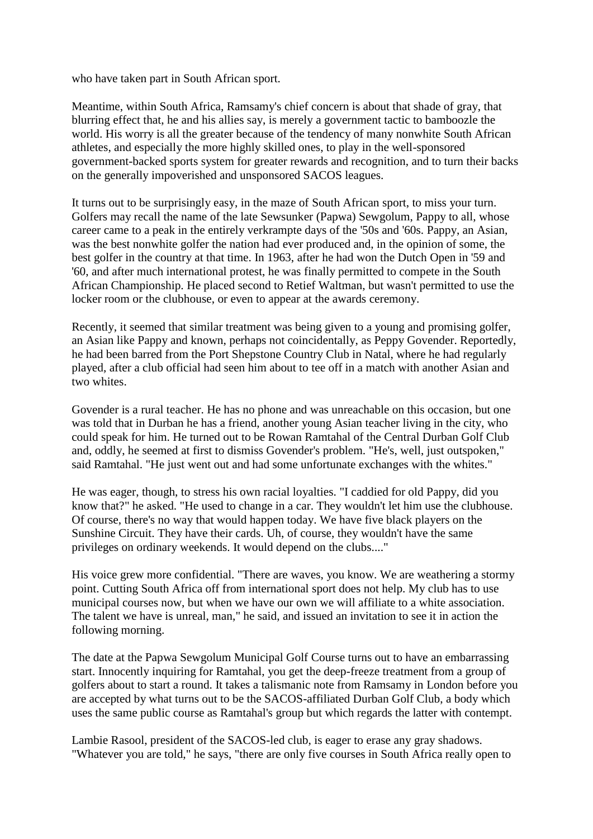who have taken part in [South African](http://sportsillustrated.cnn.com/vault/topic/article/South_Africa/1900-01-01/2100-12-31/mdd/index.htm) sport.

Meantime, within [South Africa,](http://sportsillustrated.cnn.com/vault/topic/article/South_Africa/1900-01-01/2100-12-31/mdd/index.htm) Ramsamy's chief concern is about that shade of gray, that blurring effect that, he and his allies say, is merely a government tactic to bamboozle the world. His worry is all the greater because of the tendency of many nonwhite [South African](http://sportsillustrated.cnn.com/vault/topic/article/South_Africa/1900-01-01/2100-12-31/mdd/index.htm) athletes, and especially the more highly skilled ones, to play in the well-sponsored government-backed sports system for greater rewards and recognition, and to turn their backs on the generally impoverished and unsponsored SACOS leagues.

It turns out to be surprisingly easy, in the maze of [South African](http://sportsillustrated.cnn.com/vault/topic/article/South_Africa/1900-01-01/2100-12-31/mdd/index.htm) sport, to miss your turn. Golfers may recall the name of the late Sewsunker (Papwa) Sewgolum, Pappy to all, whose career came to a peak in the entirely verkrampte days of the '50s and '60s. Pappy, an Asian, was the best nonwhite golfer the nation had ever produced and, in the opinion of some, the best golfer in the country at that time. In 1963, after he had won the Dutch Open in '59 and '60, and after much international protest, he was finally permitted to compete in the [South](http://sportsillustrated.cnn.com/vault/topic/article/South_Africa/1900-01-01/2100-12-31/mdd/index.htm)  [African](http://sportsillustrated.cnn.com/vault/topic/article/South_Africa/1900-01-01/2100-12-31/mdd/index.htm) Championship. He placed second to Retief Waltman, but wasn't permitted to use the locker room or the clubhouse, or even to appear at the awards ceremony.

Recently, it seemed that similar treatment was being given to a young and promising golfer, an Asian like Pappy and known, perhaps not coincidentally, as Peppy Govender. Reportedly, he had been barred from the Port Shepstone Country Club in Natal, where he had regularly played, after a club official had seen him about to tee off in a match with another Asian and two whites.

Govender is a rural teacher. He has no phone and was unreachable on this occasion, but one was told that in [Durban](http://sportsillustrated.cnn.com/vault/topic/article/Durban/1900-01-01/2100-12-31/mdd/index.htm) he has a friend, another young Asian teacher living in the city, who could speak for him. He turned out to be Rowan Ramtahal of the Central Durban Golf Club and, oddly, he seemed at first to dismiss Govender's problem. "He's, well, just outspoken," said Ramtahal. "He just went out and had some unfortunate exchanges with the whites."

He was eager, though, to stress his own racial loyalties. "I caddied for old Pappy, did you know that?" he asked. "He used to change in a car. They wouldn't let him use the clubhouse. Of course, there's no way that would happen today. We have five black players on the Sunshine Circuit. They have their cards. Uh, of course, they wouldn't have the same privileges on ordinary weekends. It would depend on the clubs...."

His voice grew more confidential. "There are waves, you know. We are weathering a stormy point. Cutting [South Africa](http://sportsillustrated.cnn.com/vault/topic/article/South_Africa/1900-01-01/2100-12-31/mdd/index.htm) off from international sport does not help. My club has to use municipal courses now, but when we have our own we will affiliate to a white association. The talent we have is unreal, man," he said, and issued an invitation to see it in action the following morning.

The date at the Papwa Sewgolum Municipal Golf Course turns out to have an embarrassing start. Innocently inquiring for Ramtahal, you get the deep-freeze treatment from a group of golfers about to start a round. It takes a talismanic note from Ramsamy in [London](http://sportsillustrated.cnn.com/vault/topic/article/London/1900-01-01/2100-12-31/mdd/index.htm) before you are accepted by what turns out to be the SACOS-affiliated Durban Golf Club, a body which uses the same public course as Ramtahal's group but which regards the latter with contempt.

Lambie Rasool, president of the SACOS-led club, is eager to erase any gray shadows. "Whatever you are told," he says, "there are only five courses in [South Africa](http://sportsillustrated.cnn.com/vault/topic/article/South_Africa/1900-01-01/2100-12-31/mdd/index.htm) really open to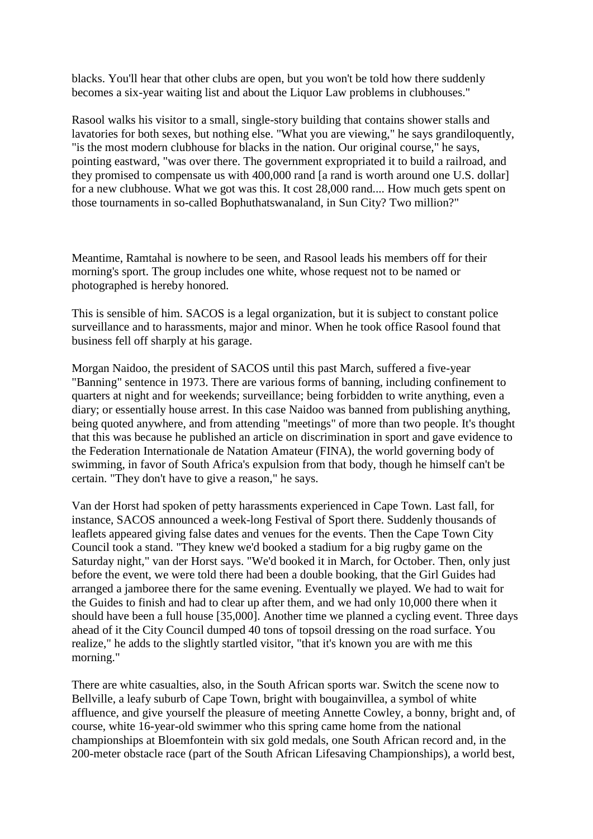blacks. You'll hear that other clubs are open, but you won't be told how there suddenly becomes a six-year waiting list and about the Liquor Law problems in clubhouses."

Rasool walks his visitor to a small, single-story building that contains shower stalls and lavatories for both sexes, but nothing else. "What you are viewing," he says grandiloquently, "is the most modern clubhouse for blacks in the nation. Our original course," he says, pointing eastward, "was over there. The government expropriated it to build a railroad, and they promised to compensate us with 400,000 rand [a rand is worth around one [U.S.](http://sportsillustrated.cnn.com/vault/topic/article/United_States/1900-01-01/2100-12-31/mdd/index.htm) dollar] for a new clubhouse. What we got was this. It cost 28,000 rand.... How much gets spent on those tournaments in so-called Bophuthatswanaland, in [Sun City?](http://sportsillustrated.cnn.com/vault/topic/article/Sun_City/1900-01-01/2100-12-31/mdd/index.htm) Two million?"

Meantime, Ramtahal is nowhere to be seen, and Rasool leads his members off for their morning's sport. The group includes one white, whose request not to be named or photographed is hereby honored.

This is sensible of him. SACOS is a legal organization, but it is subject to constant police surveillance and to harassments, major and minor. When he took office Rasool found that business fell off sharply at his garage.

Morgan Naidoo, the president of SACOS until this past March, suffered a five-year "Banning" sentence in 1973. There are various forms of banning, including confinement to quarters at night and for weekends; surveillance; being forbidden to write anything, even a diary; or essentially house arrest. In this case Naidoo was banned from publishing anything, being quoted anywhere, and from attending "meetings" of more than two people. It's thought that this was because he published an article on discrimination in sport and gave evidence to the Federation Internationale de Natation Amateur (FINA), the world governing body of swimming, in favor of [South Africa'](http://sportsillustrated.cnn.com/vault/topic/article/South_Africa/1900-01-01/2100-12-31/mdd/index.htm)s expulsion from that body, though he himself can't be certain. "They don't have to give a reason," he says.

Van der Horst had spoken of petty harassments experienced in [Cape Town.](http://sportsillustrated.cnn.com/vault/topic/article/Cape_Town/1900-01-01/2100-12-31/mdd/index.htm) Last fall, for instance, SACOS announced a week-long Festival of Sport there. Suddenly thousands of leaflets appeared giving false dates and venues for the events. Then the Cape Town City Council took a stand. "They knew we'd booked a stadium for a big rugby game on the Saturday night," van der Horst says. "We'd booked it in March, for October. Then, only just before the event, we were told there had been a double booking, that the Girl Guides had arranged a jamboree there for the same evening. Eventually we played. We had to wait for the Guides to finish and had to clear up after them, and we had only 10,000 there when it should have been a full house [35,000]. Another time we planned a cycling event. Three days ahead of it the City Council dumped 40 tons of topsoil dressing on the road surface. You realize," he adds to the slightly startled visitor, "that it's known you are with me this morning."

There are white casualties, also, in the [South African](http://sportsillustrated.cnn.com/vault/topic/article/South_Africa/1900-01-01/2100-12-31/mdd/index.htm) sports war. Switch the scene now to [Bellville,](http://sportsillustrated.cnn.com/vault/topic/article/Bellville/1900-01-01/2100-12-31/mdd/index.htm) a leafy suburb of [Cape Town,](http://sportsillustrated.cnn.com/vault/topic/article/Cape_Town/1900-01-01/2100-12-31/mdd/index.htm) bright with bougainvillea, a symbol of white affluence, and give yourself the pleasure of meeting Annette Cowley, a bonny, bright and, of course, white 16-year-old swimmer who this spring came home from the national championships at [Bloemfontein](http://sportsillustrated.cnn.com/vault/topic/article/Bloemfontein/1900-01-01/2100-12-31/mdd/index.htm) with six gold medals, one [South African](http://sportsillustrated.cnn.com/vault/topic/article/South_Africa/1900-01-01/2100-12-31/mdd/index.htm) record and, in the 200-meter obstacle race (part of the [South African](http://sportsillustrated.cnn.com/vault/topic/article/South_Africa/1900-01-01/2100-12-31/mdd/index.htm) Lifesaving Championships), a world best,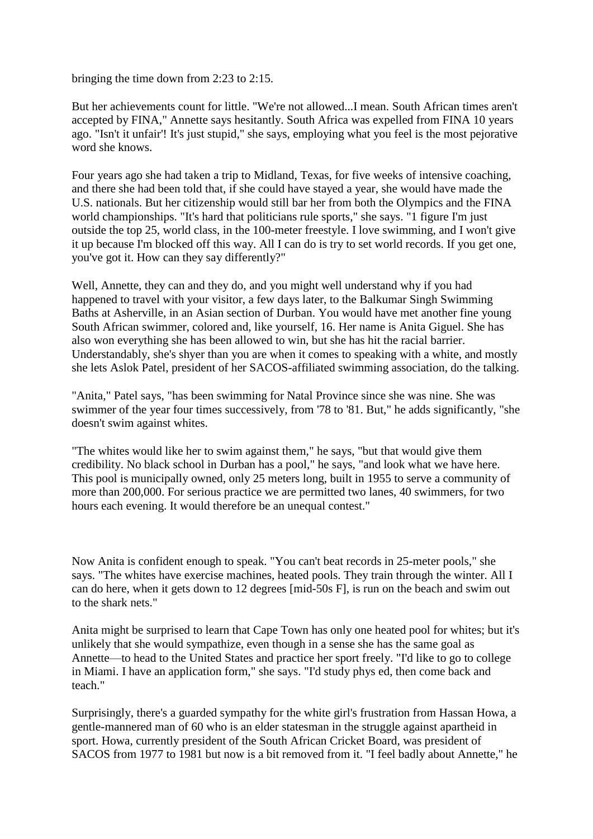bringing the time down from 2:23 to 2:15.

But her achievements count for little. "We're not allowed...I mean. [South African](http://sportsillustrated.cnn.com/vault/topic/article/South_Africa/1900-01-01/2100-12-31/mdd/index.htm) times aren't accepted by FINA," Annette says hesitantly. [South Africa](http://sportsillustrated.cnn.com/vault/topic/article/South_Africa/1900-01-01/2100-12-31/mdd/index.htm) was expelled from FINA 10 years ago. "Isn't it unfair'! It's just stupid," she says, employing what you feel is the most pejorative word she knows.

Four years ago she had taken a trip to Midland, [Texas,](http://sportsillustrated.cnn.com/vault/topic/article/Texas/1900-01-01/2100-12-31/mdd/index.htm) for five weeks of intensive coaching, and there she had been told that, if she could have stayed a year, she would have made the [U.S.](http://sportsillustrated.cnn.com/vault/topic/article/United_States/1900-01-01/2100-12-31/mdd/index.htm) nationals. But her citizenship would still bar her from both the Olympics and the FINA world championships. "It's hard that politicians rule sports," she says. "1 figure I'm just outside the top 25, world class, in the 100-meter freestyle. I love swimming, and I won't give it up because I'm blocked off this way. All I can do is try to set world records. If you get one, you've got it. How can they say differently?"

Well, Annette, they can and they do, and you might well understand why if you had happened to travel with your visitor, a few days later, to the Balkumar Singh Swimming Baths at Asherville, in an Asian section of [Durban.](http://sportsillustrated.cnn.com/vault/topic/article/Durban/1900-01-01/2100-12-31/mdd/index.htm) You would have met another fine young [South African](http://sportsillustrated.cnn.com/vault/topic/article/South_Africa/1900-01-01/2100-12-31/mdd/index.htm) swimmer, colored and, like yourself, 16. Her name is Anita Giguel. She has also won everything she has been allowed to win, but she has hit the racial barrier. Understandably, she's shyer than you are when it comes to speaking with a white, and mostly she lets Aslok Patel, president of her SACOS-affiliated swimming association, do the talking.

"Anita," Patel says, "has been swimming for Natal Province since she was nine. She was swimmer of the year four times successively, from '78 to '81. But," he adds significantly, "she doesn't swim against whites.

"The whites would like her to swim against them," he says, "but that would give them credibility. No black school in [Durban](http://sportsillustrated.cnn.com/vault/topic/article/Durban/1900-01-01/2100-12-31/mdd/index.htm) has a pool," he says, "and look what we have here. This pool is municipally owned, only 25 meters long, built in 1955 to serve a community of more than 200,000. For serious practice we are permitted two lanes, 40 swimmers, for two hours each evening. It would therefore be an unequal contest."

Now Anita is confident enough to speak. "You can't beat records in 25-meter pools," she says. "The whites have exercise machines, heated pools. They train through the winter. All I can do here, when it gets down to 12 degrees [mid-50s F], is run on the beach and swim out to the shark nets."

Anita might be surprised to learn that [Cape Town](http://sportsillustrated.cnn.com/vault/topic/article/Cape_Town/1900-01-01/2100-12-31/mdd/index.htm) has only one heated pool for whites; but it's unlikely that she would sympathize, even though in a sense she has the same goal as Annette—to head to the [United States](http://sportsillustrated.cnn.com/vault/topic/article/United_States/1900-01-01/2100-12-31/mdd/index.htm) and practice her sport freely. "I'd like to go to college in [Miami.](http://sportsillustrated.cnn.com/vault/topic/article/Miami/1900-01-01/2100-12-31/mdd/index.htm) I have an application form," she says. "I'd study phys ed, then come back and teach."

Surprisingly, there's a guarded sympathy for the white girl's frustration from Hassan Howa, a gentle-mannered man of 60 who is an elder statesman in the struggle against apartheid in sport. Howa, currently president of the South African Cricket Board, was president of SACOS from 1977 to 1981 but now is a bit removed from it. "I feel badly about Annette," he